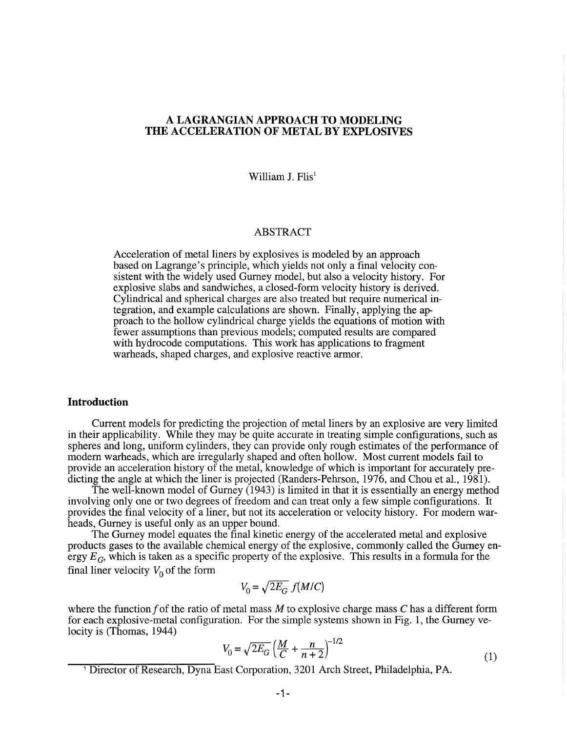# A **LAGRANGIAN APPROACH TO MODELING THE ACCELERATION OF METAL BY EXPLOSIVES**

William J. Flis<sup>1</sup>

# ABSTRACT

Acceleration of metal liners by explosives is modeled by an approach based on Lagrange's principle, which yields not only a final velocity consistent with the widely used Gurney model, but also a velocity history. For explosive slabs and sandwiches, a closed-form velocity history is derived. Cylindrical and spherical charges are also treated but require numerical integration, and example calculations are shown. Finally, applying the approach to the hollow cylindrical charge yields the equations of motion with fewer assumptions than previous models; computed results are compared with hydrocode computations. This work has applications to fragment warheads, shaped charges, and explosive reactive armor.

### **Introduction**

Current models for predicting the projection of metal liners by an explosive are very limited in their applicability. While they may be quite accurate in treating simple configurations, such as spheres and long, uniform cylinders, they can provide only rough estimates of the performance of modem warheads, which are irregularly shaped and often hollow. Most current models fail to provide an acceleration history of the metal, knowledge of which is important for accurately predicting the angle at which the liner is projected (Randers-Pehrson, 1976, and Chou et aI., 1981).

The well-known model of Gurney (1943) is limited in that it is essentially an energy method involving only one or two degrees of freedom and can treat only a few simple configurations. It provides the final velocity of a liner, but not its acceleration or velocity history. For modem warheads, Gurney is useful only as an upper bound.

The Gurney model equates the final kinetic energy of the accelerated metal and explosive products gases to the available chemical energy of the explosive, commonly called the Gurney energy  $E_G$ , which is taken as a specific property of the explosive. This results in a formula for the final liner velocity  $V_0$  of the form

$$
V_0 = \sqrt{2E_G} f(M/C)
$$

where the function f of the ratio of metal mass  $M$  to explosive charge mass  $C$  has a different form for each explosive-metal configuration. For the simple systems shown in Fig. 1, the Gurney velocity is (Thomas, 1944)

$$
V_0 = \sqrt{2E_G} \left(\frac{M}{C} + \frac{n}{n+2}\right)^{-1/2}
$$
 (1)

<sup>&</sup>lt;sup>1</sup> Director of Research, Dyna East Corporation, 3201 Arch Street, Philadelphia, PA.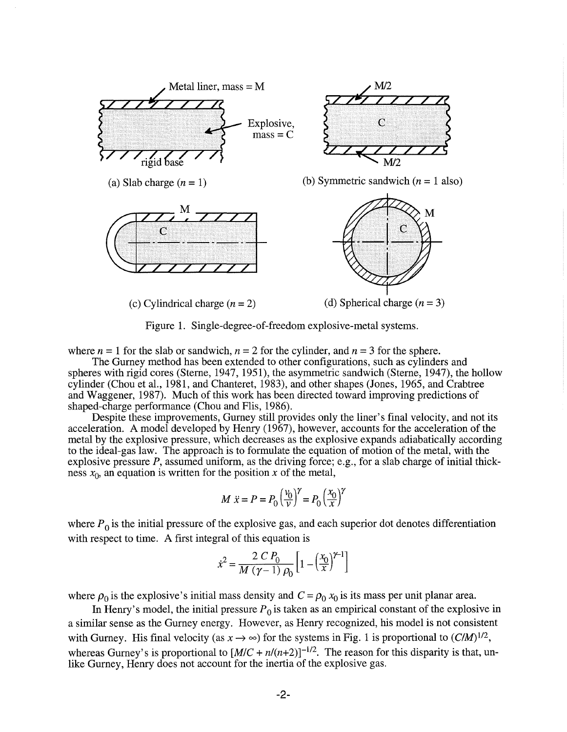

Figure 1. Single-degree-of-freedom explosive-metal systems.

where  $n = 1$  for the slab or sandwich,  $n = 2$  for the cylinder, and  $n = 3$  for the sphere.

The Gurney method has been extended to other configurations, such as cylinders and spheres with rigid cores (Sterne, 1947, 1951), the asymmetric sandwich (Sterne, 1947), the hollow cylinder (Chou et aI., 1981, and Chanteret, 1983), and other shapes (Jones, 1965, and Crabtree and Waggener, 1987). Much of this work has been directed toward improving predictions of shaped-charge performance (Chou and Flis, 1986).

Despite these improvements, Gurney still provides only the liner's final velocity, and not its acceleration. A model developed by Henry (1967), however, accounts for the acceleration of the metal by the explosive pressure, which decreases as the explosive expands adiabatically according to the ideal-gas law. The approach is to formulate the equation of motion of the metal, with the explosive pressure  $P$ , assumed uniform, as the driving force; e.g., for a slab charge of initial thickness  $x_0$ , an equation is written for the position *x* of the metal,

$$
M \ddot{x} = P = P_0 \left(\frac{v_0}{v}\right)^{\gamma} = P_0 \left(\frac{x_0}{x}\right)^{\gamma}
$$

where  $P_0$  is the initial pressure of the explosive gas, and each superior dot denotes differentiation with respect to time. A first integral of this equation is

$$
\dot{x}^{2} = \frac{2 \, C \, P_{0}}{M \, (\gamma - 1) \, \rho_{0}} \left[ 1 - \left(\frac{x_{0}}{x}\right)^{\gamma - 1} \right]
$$

where  $\rho_0$  is the explosive's initial mass density and  $C = \rho_0 x_0$  is its mass per unit planar area.

In Henry's model, the initial pressure  $P_0$  is taken as an empirical constant of the explosive in a similar sense as the Gurney energy. However, as Henry recognized, his model is not consistent with Gurney. His final velocity (as  $x \to \infty$ ) for the systems in Fig. 1 is proportional to  $(C/M)^{1/2}$ , whereas Gurney's is proportional to  $[M/C + n/(n+2)]^{-1/2}$ . The reason for this disparity is that, unlike Gurney, Henry does not account for the inertia of the explosive gas.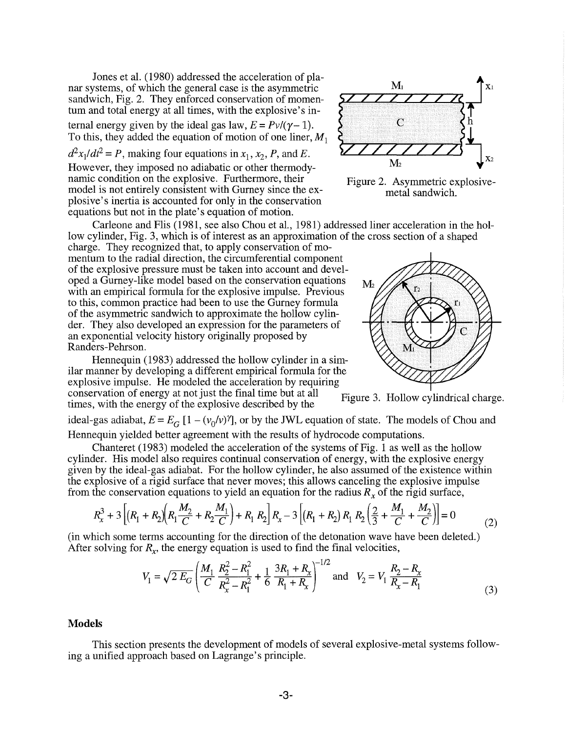Jones et al. (1980) addressed the acceleration of planar systems, of which the general case is the asymmetric sandwich, Fig. 2. They enforced conservation of momentum and total energy at all times, with the explosive's internal energy given by the ideal gas law,  $E = Pv/(\gamma - 1)$ . To this, they added the equation of motion of one liner,  $M_1$ 

 $d^2x_1/dt^2 = P$ , making four equations in  $x_1, x_2, P$ , and E. However, they imposed no adiabatic or other thermodynamic condition on the explosive. Furthermore, their model is not entirely consistent with Gurney since the explosive's inertia is accounted for only in the conservation equations but not in the plate's equation of motion.

low cylinder, Fig. 3, which is of interest as an approximation of the cross section of a shaped charge. They recognized that, to apply conservation of momentum to the radial direction, the circumferential component of the explosive pressure must be taken into account and developed a Gurney-like model based on the conservation equations with an empirical formula for the explosive impulse. Previous to this, common practice had been to use the Gurney formula of the asymmetric sandwich to approximate the hollow cylinder. They also developed an expression for the parameters of an exponential velocity history originally proposed by Randers-Pehrson.

Hennequin (1983) addressed the hollow cylinder in a similar manner by developing a different empirical formula for the explosive impulse. He modeled the acceleration by requiring conservation of energy at not just the final time but at all conservation of energy at not just the final time but at all Figure 3. Hollow cylindrical charge.<br>times, with the energy of the explosive described by the

ideal-gas adiabat,  $E = E_G [1 - (v_0/v)^\gamma]$ , or by the JWL equation of state. The models of Chou and Hennequin yielded better agreement with the results of hydrocode computations.

Carleone and Flis (1981, see also Chou et aI., 1981) addressed liner acceleration in the hol-

Chanteret (1983) modeled the acceleration of the systems of Fig. 1 as well as the hollow cylinder. His model also requires continual conservation of energy, with the explosive energy given by the ideal-gas adiabat. For the hollow cylinder, he also assumed of the existence within the explosive of a rigid surface that never moves; this allows canceling the explosive impulse from the conservation equations to yield an equation for the radius  $R<sub>x</sub>$  of the rigid surface,

$$
R_{x}^{3} + 3\left[ \left(R_{1} + R_{2}\right) \left(R_{1} \frac{M_{2}}{C} + R_{2} \frac{M_{1}}{C}\right) + R_{1} R_{2} \right] R_{x} - 3\left[ \left(R_{1} + R_{2}\right) R_{1} R_{2} \left(\frac{2}{3} + \frac{M_{1}}{C} + \frac{M_{2}}{C}\right) \right] = 0 \tag{2}
$$

(in which some terms accounting for the direction of the detonation wave have been deleted.) After solving for  $R_x$ , the energy equation is used to find the final velocities,

$$
V_1 = \sqrt{2 E_G} \left( \frac{M_1}{C} \frac{R_2^2 - R_1^2}{R_x^2 - R_1^2} + \frac{1}{6} \frac{3R_1 + R_x}{R_1 + R_x} \right)^{-1/2} \text{and} \quad V_2 = V_1 \frac{R_2 - R_x}{R_x - R_1}
$$
(3)

# **Models**

This section presents the development of models of several explosive-metal systems following a unified approach based on Lagrange's principle.



Figure 2. Asymmetric explosivemetal sandwich.

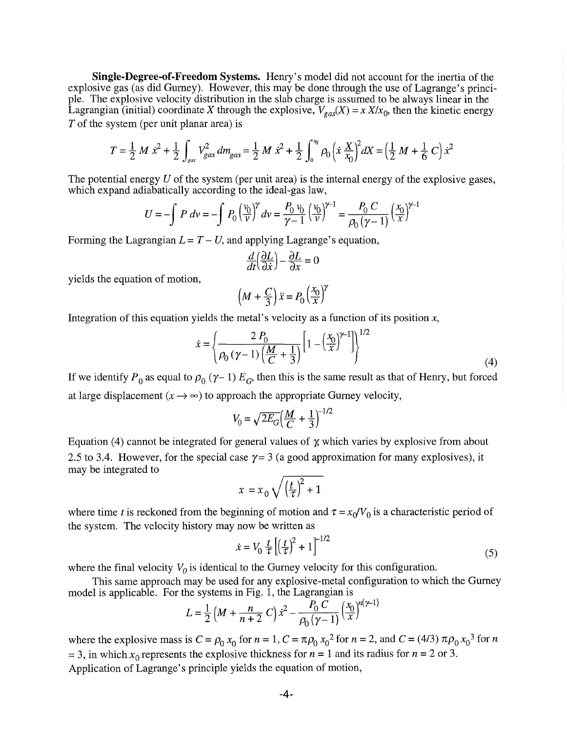**Single-Degree-of -Freedom** Systems. Henry's model did not account for the inertia of the explosive gas (as did Gurney). However, this may be done through the use of Lagrange's principle. The explosive velocity distribution in the slab charge is assumed to be always linear in the Lagrangian (initial) coordinate X through the explosive,  $V_{\text{gas}}(X) = x X/x_0$ , then the kinetic energy *T* of the system (per unit planar area) is

$$
T = \frac{1}{2} M \dot{x}^2 + \frac{1}{2} \int_{\text{gas}} V_{\text{gas}}^2 dm_{\text{gas}} = \frac{1}{2} M \dot{x}^2 + \frac{1}{2} \int_0^{\infty} \rho_0 \left( \dot{x} \frac{X}{x_0} \right)^2 dX = \left( \frac{1}{2} M + \frac{1}{6} C \right) \dot{x}^2
$$

The potential energy  $U$  of the system (per unit area) is the internal energy of the explosive gases, which expand adiabatically according to the ideal-gas law,

$$
U = -\int P \, dv = -\int P_0 \left(\frac{v_0}{v}\right)^{\gamma} dv = \frac{P_0 v_0}{\gamma - 1} \left(\frac{v_0}{v}\right)^{\gamma - 1} = \frac{P_0 C}{\rho_0 (\gamma - 1)} \left(\frac{x_0}{x}\right)^{\gamma - 1}
$$

Forming the Lagrangian  $L = T - U$ , and applying Lagrange's equation,

$$
\frac{d}{dt}\left(\frac{\partial L}{\partial \dot{x}}\right) - \frac{\partial L}{\partial x} = 0
$$

yields the equation of motion,

$$
\left(M + \frac{C}{3}\right)\ddot{x} = P_0 \left(\frac{x_0}{x}\right)^{\gamma}
$$

Integration of this equation yields the metal's velocity as a function of its position *x,* 

$$
\dot{x} = \left\{ \frac{2 P_0}{\rho_0 (\gamma - 1) \left( \frac{M}{C} + \frac{1}{3} \right)} \left[ 1 - \left( \frac{x_0}{x} \right)^{\gamma - 1} \right] \right\}^{1/2}
$$
(4)

If we identify  $P_0$  as equal to  $\rho_0$  ( $\gamma$ -1)  $E_G$ , then this is the same result as that of Henry, but forced at large displacement  $(x \rightarrow \infty)$  to approach the appropriate Gurney velocity,

$$
V_0 = \sqrt{2E_G} \Big(\frac{M}{C} + \frac{1}{3}\Big)^{-1/2}
$$

Equation (4) cannot be integrated for general values of  $\chi$  which varies by explosive from about 2.5 to 3.4. However, for the special case  $\gamma = 3$  (a good approximation for many explosives), it may be integrated to

$$
x = x_0 \sqrt{\left(\frac{t}{\tau}\right)^2 + 1}
$$

where time t is reckoned from the beginning of motion and  $\tau = x_0/V_0$  is a characteristic period of the system. The velocity history may now be written as  $\dot{x} = V_0 \frac{t}{\tau} \left| \left( \frac{t}{\tau} \right)^2 + 1 \right|^{-1/2}$ 

$$
\dot{x} = V_0 \frac{t}{\tau} \left[ \left( \frac{t}{\tau} \right)^2 + 1 \right]^{-1/2} \tag{5}
$$

where the final velocity  $V_0$  is identical to the Gurney velocity for this configuration.

This same approach may be used for any explosive-metal configuration to which the Gurney model is applicable. For the systems in Fig. 1, the Lagrangian is  $-1)$ 

$$
L = \frac{1}{2} \left( M + \frac{n}{n+2} C \right) x^{2} - \frac{P_{0} C}{\rho_{0} (\gamma - 1)} \left( \frac{x_{0}}{x} \right)^{n(\gamma - 1)}
$$

where the explosive mass is  $C = \rho_0 x_0$  for  $n = 1$ ,  $C = \pi \rho_0 x_0^2$  for  $n = 2$ , and  $C = (4/3) \pi \rho_0 x_0^3$  for  $n = 1$  $= 3$ , in which  $x_0$  represents the explosive thickness for  $n = 1$  and its radius for  $n = 2$  or 3. Application of Lagrange's principle yields the equation of motion,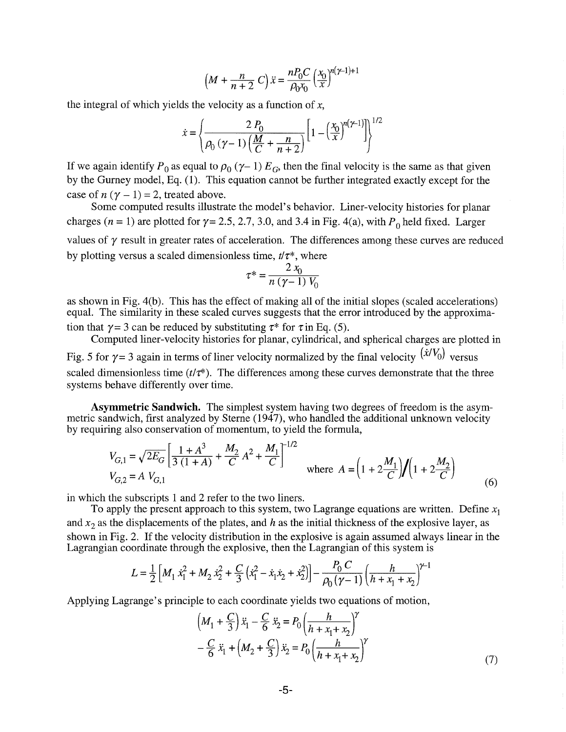$$
\left(M + \frac{n}{n+2} C\right) \ddot{x} = \frac{n P_0 C}{\rho_0 x_0} \left(\frac{x_0}{x}\right)^{n(\gamma - 1) + 1}
$$

the integral of which yields the velocity as a function of *x,* 

$$
\dot{x} = \left\{ \frac{2 P_0}{P_0 \left(\gamma - 1\right) \left(\frac{M}{C} + \frac{n}{n+2}\right)} \left[1 - \left(\frac{x_0}{x}\right)^{n\left(\gamma - 1\right)}\right] \right\}^{1/2}
$$

If we again identify  $P_0$  as equal to  $\rho_0$  ( $\gamma$ -1)  $E_G$ , then the final velocity is the same as that given by the Gurney model, Eq. (1). This equation cannot be further integrated exactly except for the case of  $n(y - 1) = 2$ , treated above.

Some computed results illustrate the model's behavior. Liner-velocity histories for planar charges ( $n = 1$ ) are plotted for  $\gamma = 2.5, 2.7, 3.0,$  and 3.4 in Fig. 4(a), with  $P_0$  held fixed. Larger values of  $\gamma$  result in greater rates of acceleration. The differences among these curves are reduced by plotting versus a scaled dimensionless time,  $t/\tau^*$ , where

$$
\tau^* = \frac{2 x_0}{n (\gamma - 1) V_0}
$$

as shown in Fig. 4(b). This has the effect of making all of the initial slopes (scaled accelerations) equal. The similarity in these scaled curves suggests that the error introduced by the approximation that  $\gamma = 3$  can be reduced by substituting  $\tau^*$  for  $\tau$  in Eq. (5).

Computed liner-velocity histories for planar, cylindrical, and spherical charges are plotted in Fig. 5 for  $\gamma$  = 3 again in terms of liner velocity normalized by the final velocity  $(\dot{x}/V_0)$  versus scaled dimensionless time  $(t/\tau^*)$ . The differences among these curves demonstrate that the three systems behave differently over time.

**Asymmetric Sandwich.** The simplest system having two degrees of freedom is the asymmetric sandwich, first analyzed by Sterne (1947), who handled the additional unknown velocity by requiring also conservation of momentum, to yield the formula,

$$
V_{G,1} = \sqrt{2E_G} \left[ \frac{1+A^3}{3(1+A)} + \frac{M_2}{C} A^2 + \frac{M_1}{C} \right]^{-1/2}
$$
  
where  $A = \left(1 + 2\frac{M_1}{C}\right) / \left(1 + 2\frac{M_2}{C}\right)$  (6)

in which the subscripts 1 and 2 refer to the two liners.

To apply the present approach to this system, two Lagrange equations are written. Define  $x_1$ and  $x_2$  as the displacements of the plates, and h as the initial thickness of the explosive layer, as shown in Fig. 2. If the velocity distribution in the explosive is again assumed always linear in the Lagrangian coordinate through the explosive, then the Lagrangian of this system is

$$
L = \frac{1}{2} \left[ M_1 \dot{x}_1^2 + M_2 \dot{x}_2^2 + \frac{C}{3} \left( \dot{x}_1^2 - \dot{x}_1 \dot{x}_2 + \dot{x}_2^2 \right) \right] - \frac{P_0 C}{\rho_0 (\gamma - 1)} \left( \frac{h}{h + x_1 + x_2} \right)^{\gamma - 1}
$$

Applying Lagrange's principle to each coordinate yields two equations of motion,

$$
\left(M_1 + \frac{C}{3}\right)\ddot{x}_1 - \frac{C}{6}\ddot{x}_2 = P_0 \left(\frac{h}{h + x_1 + x_2}\right)^{\gamma} - \frac{C}{6}\ddot{x}_1 + \left(M_2 + \frac{C}{3}\right)\ddot{x}_2 = P_0 \left(\frac{h}{h + x_1 + x_2}\right)^{\gamma}
$$
\n(7)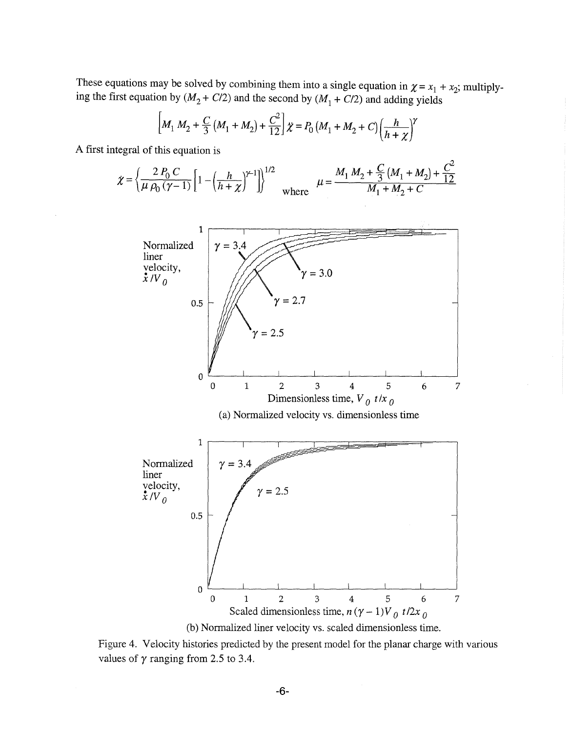These equations may be solved by combining them into a single equation in  $\chi = x_1 + x_2$ ; multiplying the first equation by  $(M_2 + C/2)$  and the second by  $(M_1 + C/2)$  and adding yields

$$
\[M_1 M_2 + \frac{C}{3} (M_1 + M_2) + \frac{C^2}{12} \] \chi = P_0 (M_1 + M_2 + C) \Big(\frac{h}{h + \chi}\Big)^{\gamma}
$$

A first integral of this equation is

$$
\chi = \left\{ \frac{2 P_0 C}{\mu P_0 (\gamma - 1)} \left[ 1 - \left( \frac{h}{h + \chi} \right)^{\gamma - 1} \right] \right\}^{1/2} \quad \text{where} \quad \mu = \frac{M_1 M_2 + \frac{C}{3} (M_1 + M_2) + \frac{C^2}{12}}{M_1 + M_2 + C}
$$



Figure 4. Veiocity histories predicted by the present model for the planar charge with various values of  $\gamma$  ranging from 2.5 to 3.4.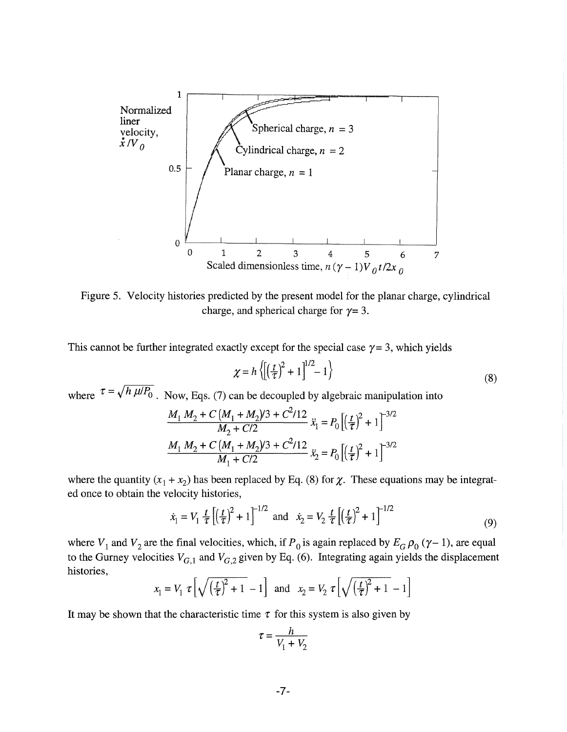

Figure 5. Velocity histories predicted by the present model for the planar charge, cylindrical charge, and spherical charge for  $\gamma = 3$ .

This cannot be further integrated exactly except for the special case  $\gamma = 3$ , which yields

$$
\chi = h \left\{ \left[ \left( \frac{t}{\tau} \right)^2 + 1 \right]^{1/2} - 1 \right\}
$$
\n(8)

where  $\tau = \sqrt{h \mu/P_0}$ . Now, Eqs. (7) can be decoupled by algebraic manipulation into <br>  $\frac{M_1 M_2 + C (M_1 + M_2)/3 + C^2/12}{M_1 + C^2/12} \ddot{x}_1 = P_0 \left[ \left(\frac{t}{T}\right)^2 + 1 \right]^{-3/2}$ 

$$
\frac{M_1 M_2 + C (M_1 + M_2)/3 + C^2/12}{M_2 + C/2} \ddot{x}_1 = P_0 \left[ \left(\frac{t}{\tau}\right)^2 + 1 \right]^{-3/2}
$$

$$
\frac{M_1 M_2 + C (M_1 + M_2)/3 + C^2/12}{M_1 + C/2} \ddot{x}_2 = P_0 \left[ \left(\frac{t}{\tau}\right)^2 + 1 \right]^{-3/2}
$$

where the quantity  $(x_1 + x_2)$  has been replaced by Eq. (8) for  $\chi$ . These equations may be integrated once to obtain the velocity histories,

$$
\dot{x}_1 = V_1 \frac{t}{\tau} \left[ \left( \frac{t}{\tau} \right)^2 + 1 \right]^{-1/2}
$$
 and  $\dot{x}_2 = V_2 \frac{t}{\tau} \left[ \left( \frac{t}{\tau} \right)^2 + 1 \right]^{-1/2}$  (9)

where  $V_1$  and  $V_2$  are the final velocities, which, if  $P_0$  is again replaced by  $E_G \rho_0 (\gamma - 1)$ , are equal to the Gurney velocities  $V_{G,1}$  and  $V_{G,2}$  given by Eq. (6). Integrating again yields the displacement histories,

$$
x_1 = V_1 \ \tau \left[ \sqrt{\left(\frac{t}{\tau}\right)^2 + 1} - 1 \right]
$$
 and  $x_2 = V_2 \ \tau \left[ \sqrt{\left(\frac{t}{\tau}\right)^2 + 1} - 1 \right]$ 

It may be shown that the characteristic time  $\tau$  for this system is also given by

$$
\tau = \frac{h}{V_1 + V_2}
$$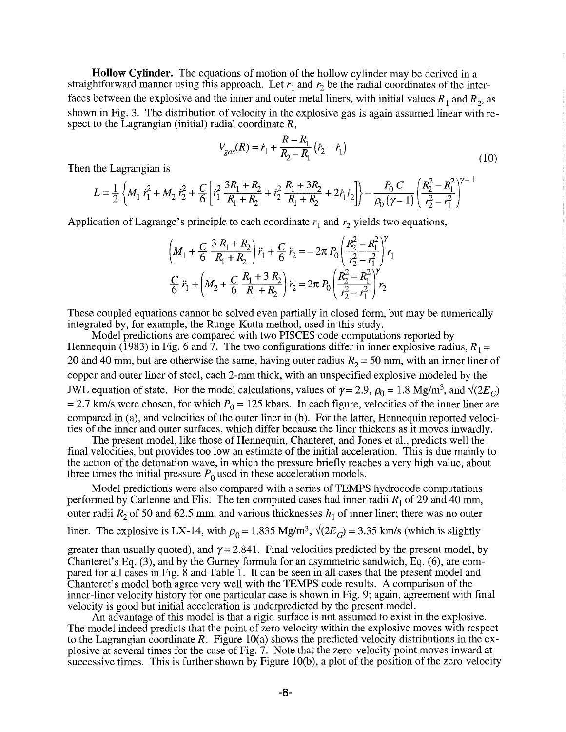**Hollow Cylinder.** The equations of motion of the hollow cylinder may be derived in a straightforward manner using this approach. Let  $r_1$  and  $r_2$  be the radial coordinates of the interfaces between the explosive and the inner and outer metal liners, with initial values  $R_1$  and  $R_2$ , as shown in Fig. 3. The distribution of velocity in the explosive gas is again assumed linear with respect to the Lagrangian (initial) radial coordinate  $R$ ,

$$
V_{gas}(R) = \dot{r}_1 + \frac{R - R_1}{R_2 - R_1} (\dot{r}_2 - \dot{r}_1)
$$
\n(10)

Then the Lagrangian is

$$
L = \frac{1}{2} \left\{ M_1 \dot{r}_1^2 + M_2 \dot{r}_2^2 + \frac{C}{6} \left[ \dot{r}_1^2 \frac{3R_1 + R_2}{R_1 + R_2} + \dot{r}_2^2 \frac{R_1 + 3R_2}{R_1 + R_2} + 2 \dot{r}_1 \dot{r}_2 \right] \right\} - \frac{P_0 C}{\rho_0 (\gamma - 1)} \left( \frac{R_2^2 - R_1^2}{r_2^2 - r_1^2} \right)^{\gamma - 1}
$$

Application of Lagrange's principle to each coordinate  $r_1$  and  $r_2$  yields two equations,

$$
\left(M_1 + \frac{C}{6} \frac{3 R_1 + R_2}{R_1 + R_2}\right) \ddot{r}_1 + \frac{C}{6} \ddot{r}_2 = -2\pi P_0 \left(\frac{R_2^2 - R_1^2}{r_2^2 - r_1^2}\right) r_1
$$
  

$$
\frac{C}{6} \ddot{r}_1 + \left(M_2 + \frac{C}{6} \frac{R_1 + 3 R_2}{R_1 + R_2}\right) \ddot{r}_2 = 2\pi P_0 \left(\frac{R_2^2 - R_1^2}{r_2^2 - r_1^2}\right) r_2
$$

These coupled equations cannot be solved even partially in closed form, but may be numerically integrated by, for example, the Runge-Kutta method, used in this study.

Model predictions are compared with two PISCES code computations reported by Hennequin (1983) in Fig. 6 and 7. The two configurations differ in inner explosive radius,  $R_1 =$ 20 and 40 mm, but are otherwise the same, having outer radius  $R_2 = 50$  mm, with an inner liner of copper and outer liner of steel, each 2-mm thick, with an unspecified explosive modeled by the JWL equation of state. For the model calculations, values of  $\gamma = 2.9$ ,  $\rho_0 = 1.8$  Mg/m<sup>3</sup>, and  $\sqrt{2E_G}$ = 2.7 km/s were chosen, for which  $P_0$  = 125 kbars. In each figure, velocities of the inner liner are compared in (a), and velocities of the outer liner in (b). For the latter, Hennequin reported velocities of the inner and outer surfaces, which differ because the liner thickens as it moves inwardly.

The present model, like those of Hennequin, Chanteret, and Jones et al., predicts well the final velocities, but provides too Iowan estimate of the initial acceleration. This is due mainly to the action of the detonation wave, in which the pressure briefly reaches a very high value, about three times the initial pressure  $P_0$  used in these acceleration models.

Model predictions were also compared with a series of TEMPS hydrocode computations performed by Carleone and Flis. The ten computed cases had inner radii  $R_1$  of 29 and 40 mm, outer radii  $R_2$  of 50 and 62.5 mm, and various thicknesses  $h_1$  of inner liner; there was no outer liner. The explosive is LX-14, with  $\rho_0 = 1.835 \text{ Mg/m}^3$ ,  $\sqrt{(2E_G)} = 3.35 \text{ km/s}$  (which is slightly greater than usually quoted), and  $\gamma = 2.841$ . Final velocities predicted by the present model, by Chanteret's Eq. (3), and by the Gurney formula for an asymmetric sandwich, Eq. (6), are compared for all cases in Fig. 8 and Table 1. It can be seen in all cases that the present model and Chanteret's model both agree very well with the TEMPS code results. A comparison of the inner-liner velocity history for one particular case is shown in Fig. 9; again, agreement with final velocity is good but initial acceleration is underpredicted by the present model.

An advantage of this model is that a rigid surface is not assumed to exist in the explosive. The model indeed predicts that the point of zero velocity within the explosive moves with respect to the Lagrangian coordinate *R*. Figure 10(a) shows the predicted velocity distributions in the explosive at several times for the case of Fig. 7. Note that the zero-velocity point moves inward at successive times. This is further shown by Figure 10(b), a plot of the position of the zero-velocity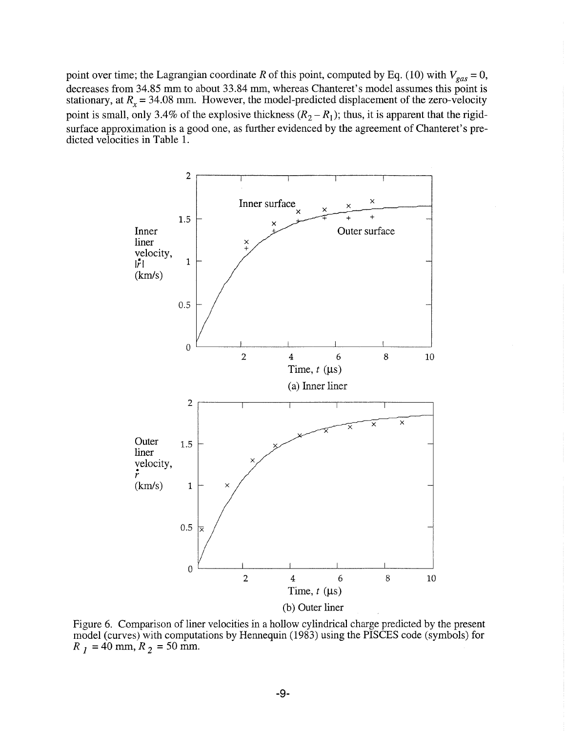point over time; the Lagrangian coordinate *R* of this point, computed by Eq. (10) with  $V_{gas} = 0$ , decreases from 34.85 mm to about 33.84 mm, whereas Chanteret's model assumes this point is stationary, at *R<sub>x</sub>* = 34.08 mm. However, the model-predicted displacement of the zero-velocity point is small, only 3.4% of the explosive thickness  $(R_2 - R_1)$ ; thus, it is apparent that the rigidsurface approximation is a good one, as further evidenced by the agreement of Chanteret's predicted velocities in Table 1.



Figure 6. Comparison of liner velocities in a hollow cylindrical charge predicted by the present model (curves) with computations by Hennequin (1983) using the PISCES code (symbols) for  $R_1 = 40$  mm,  $R_2 = 50$  mm.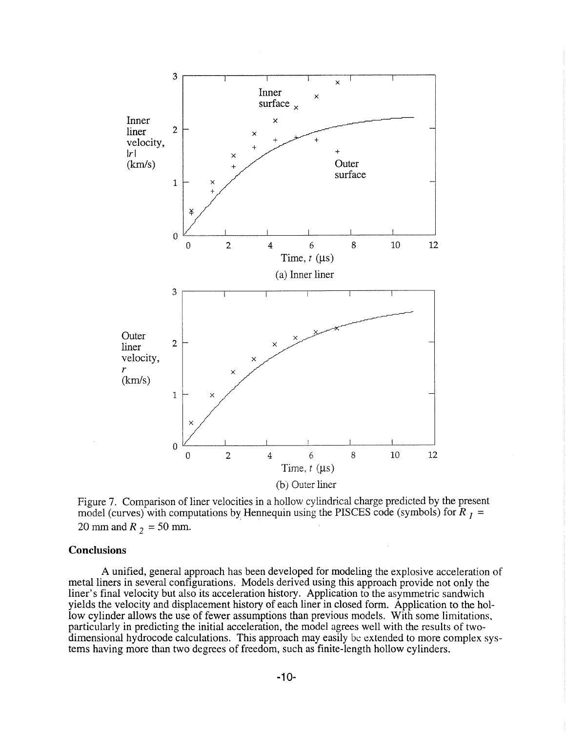

Figure 7. Comparison of liner velocities in a hollow cylindrical charge predicted by the present model (curves) with computations by Hennequin using the PISCES code (symbols) for  $R_1$  = 20 mm and  $R_2 = 50$  mm.

### **Conclusions**

A unified, general approach has been developed for modeling the explosive acceleration of metal liners in several configurations. Models derived using this approach provide not only the liner's final velocity but also its acceleration history. Application to the asymmetric sandwich yields the velocity and displacement history of each liner in closed form. Application to the hollow cylinder allows the use of fewer assumptions than previous models. With some limitations, particularly in predicting the initial acceleration, the model agrees well with the results of twodimensional hydrocode calculations. This approach may easily be extended to more complex systems having more than two degrees of freedom, such as finite-length hollow cylinders.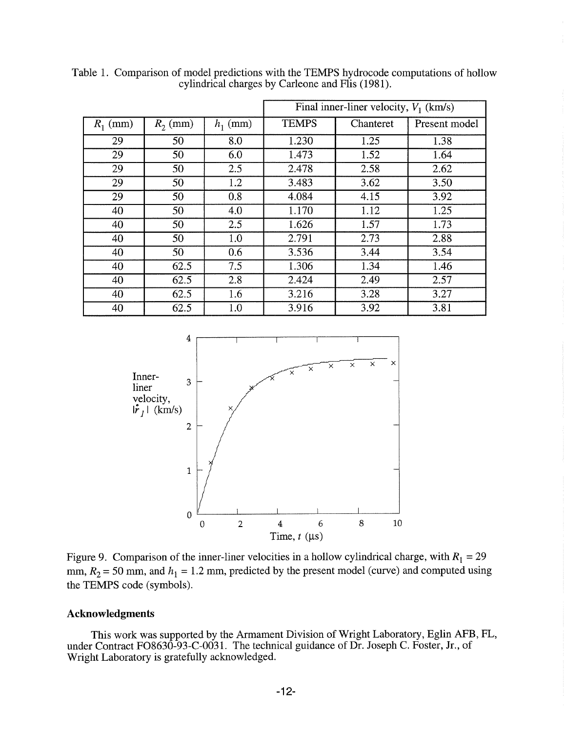|                 |            |            | Final inner-liner velocity, $V_1$ (km/s) |           |               |
|-----------------|------------|------------|------------------------------------------|-----------|---------------|
| $R_1$ (mm)      | $R_2$ (mm) | $h_1$ (mm) | <b>TEMPS</b>                             | Chanteret | Present model |
| 29              | 50         | 8.0        | 1.230                                    | 1.25      | 1.38          |
| 29              | 50         | 6.0        | 1.473                                    | 1.52      | 1.64          |
| $\overline{29}$ | 50         | 2.5        | 2.478                                    | 2.58      | 2.62          |
| 29              | 50         | 1.2        | 3.483                                    | 3.62      | 3.50          |
| 29              | 50         | 0.8        | 4.084                                    | 4.15      | 3.92          |
| 40              | 50         | 4.0        | 1.170                                    | 1.12      | 1.25          |
| 40              | 50         | 2.5        | 1.626                                    | 1.57      | 1.73          |
| 40              | 50         | 1.0        | 2.791                                    | 2.73      | 2.88          |
| 40              | 50         | 0.6        | 3.536                                    | 3.44      | 3.54          |
| 40              | 62.5       | 7.5        | 1.306                                    | 1.34      | 1.46          |
| 40              | 62.5       | 2.8        | 2.424                                    | 2.49      | 2.57          |
| 40              | 62.5       | 1.6        | 3.216                                    | 3.28      | 3.27          |
| 40              | 62.5       | 1.0        | 3.916                                    | 3.92      | 3.81          |

Table 1. Comparison of model predictions with the TEMPS hydrocode computations of hollow cylindrical charges by Carleone and Flis (1981).



Figure 9. Comparison of the inner-liner velocities in a hollow cylindrical charge, with  $R_1 = 29$ mm,  $R_2 = 50$  mm, and  $h_1 = 1.2$  mm, predicted by the present model (curve) and computed using the TEMPS code (symbols).

# **Acknowledgments**

This work was supported by the Armament Division of Wright Laboratory, Eglin AFB, FL, under Contract F08630-93-C-0031. The technical guidance of Dr. Joseph C. Foster, Jr., of Wright Laboratory is gratefully acknowledged.